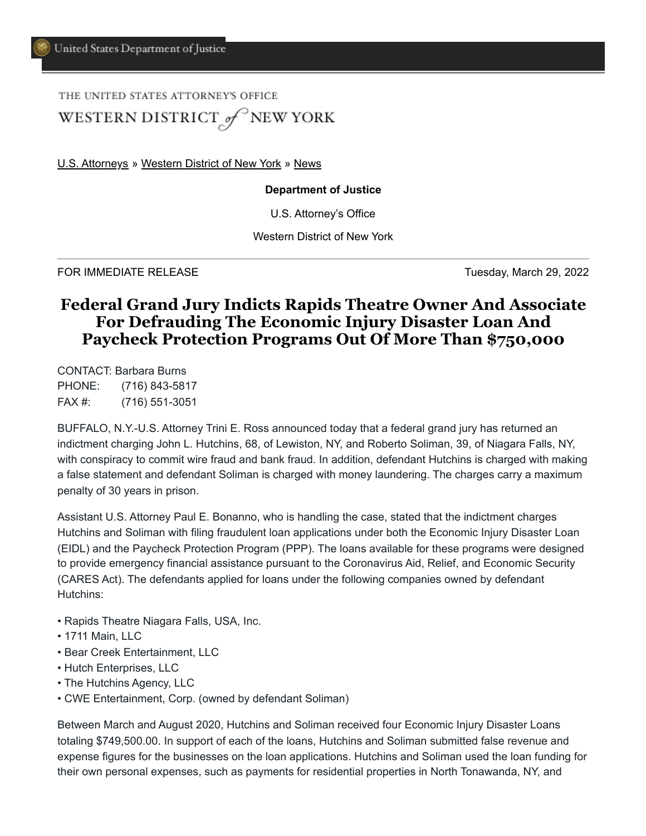THE UNITED STATES ATTORNEY'S OFFICE

WESTERN DISTRICT of NEW YORK

[U.S. Attorneys](https://www.justice.gov/usao) » [Western District of New York](https://www.justice.gov/usao-wdny) » [News](https://www.justice.gov/usao-wdny/pr)

## **Department of Justice**

U.S. Attorney's Office

Western District of New York

FOR IMMEDIATE RELEASE TUESDAY AND TUESDAY, March 29, 2022

## **Federal Grand Jury Indicts Rapids Theatre Owner And Associate For Defrauding The Economic Injury Disaster Loan And Paycheck Protection Programs Out Of More Than \$750,000**

CONTACT: Barbara Burns PHONE: (716) 843-5817 FAX #: (716) 551-3051

BUFFALO, N.Y.-U.S. Attorney Trini E. Ross announced today that a federal grand jury has returned an indictment charging John L. Hutchins, 68, of Lewiston, NY, and Roberto Soliman, 39, of Niagara Falls, NY, with conspiracy to commit wire fraud and bank fraud. In addition, defendant Hutchins is charged with making a false statement and defendant Soliman is charged with money laundering. The charges carry a maximum penalty of 30 years in prison.

Assistant U.S. Attorney Paul E. Bonanno, who is handling the case, stated that the indictment charges Hutchins and Soliman with filing fraudulent loan applications under both the Economic Injury Disaster Loan (EIDL) and the Paycheck Protection Program (PPP). The loans available for these programs were designed to provide emergency financial assistance pursuant to the Coronavirus Aid, Relief, and Economic Security (CARES Act). The defendants applied for loans under the following companies owned by defendant Hutchins:

- Rapids Theatre Niagara Falls, USA, Inc.
- 1711 Main, LLC
- Bear Creek Entertainment, LLC
- Hutch Enterprises, LLC
- The Hutchins Agency, LLC
- CWE Entertainment, Corp. (owned by defendant Soliman)

Between March and August 2020, Hutchins and Soliman received four Economic Injury Disaster Loans totaling \$749,500.00. In support of each of the loans, Hutchins and Soliman submitted false revenue and expense figures for the businesses on the loan applications. Hutchins and Soliman used the loan funding for their own personal expenses, such as payments for residential properties in North Tonawanda, NY, and